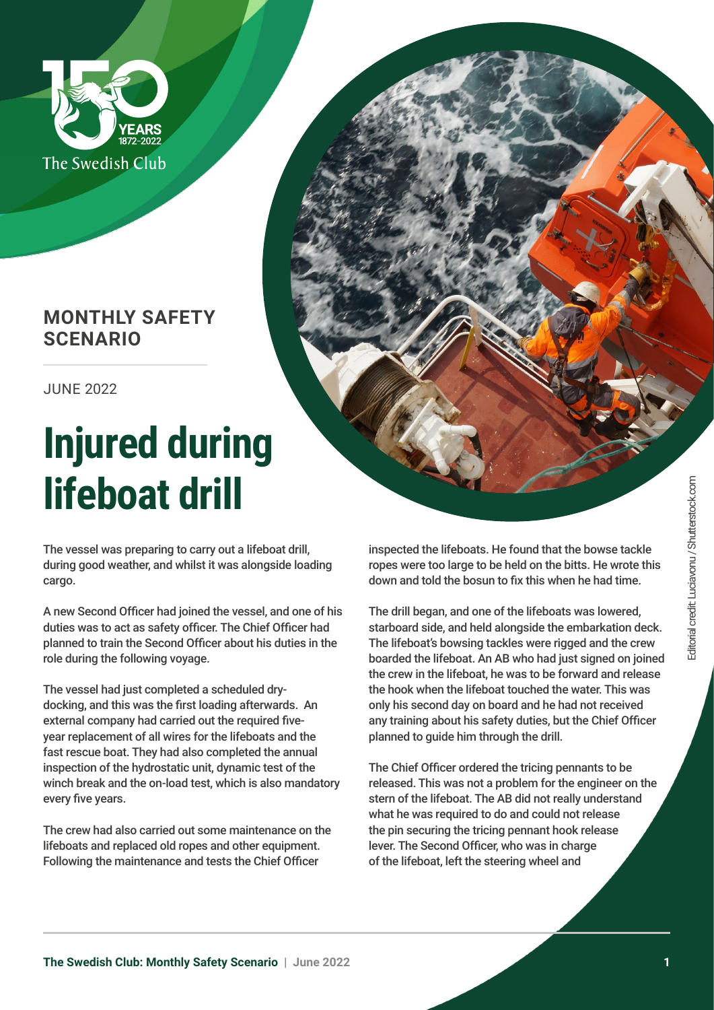

## **MONTHLY SAFETY SCENARIO**

JUNE 2022

## **Injured during lifeboat drill**

The vessel was preparing to carry out a lifeboat drill, during good weather, and whilst it was alongside loading cargo.

A new Second Officer had joined the vessel, and one of his duties was to act as safety officer. The Chief Officer had planned to train the Second Officer about his duties in the role during the following voyage.

The vessel had just completed a scheduled drydocking, and this was the first loading afterwards. An external company had carried out the required fiveyear replacement of all wires for the lifeboats and the fast rescue boat. They had also completed the annual inspection of the hydrostatic unit, dynamic test of the winch break and the on-load test, which is also mandatory every five years.

The crew had also carried out some maintenance on the lifeboats and replaced old ropes and other equipment. Following the maintenance and tests the Chief Officer

inspected the lifeboats. He found that the bowse tackle ropes were too large to be held on the bitts. He wrote this down and told the bosun to fix this when he had time.

The drill began, and one of the lifeboats was lowered, starboard side, and held alongside the embarkation deck. The lifeboat's bowsing tackles were rigged and the crew boarded the lifeboat. An AB who had just signed on joined the crew in the lifeboat, he was to be forward and release the hook when the lifeboat touched the water. This was only his second day on board and he had not received any training about his safety duties, but the Chief Officer planned to guide him through the drill.

The Chief Officer ordered the tricing pennants to be released. This was not a problem for the engineer on the stern of the lifeboat. The AB did not really understand what he was required to do and could not release the pin securing the tricing pennant hook release lever. The Second Officer, who was in charge of the lifeboat, left the steering wheel and